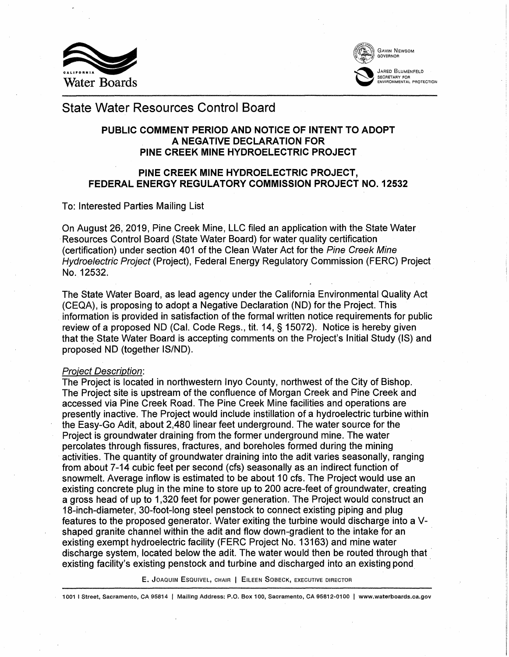



# State Water Resources Control Board

## **PUBLIC COMMENT PERIOD AND NOTICE OF INTENT TO ADOPT A NEGATIVE DECLARATION FOR PINE CREEK MINE HYDROELECTRIC PROJECT**

## **PINE CREEK MINE HYDROELECTRIC PROJECT, FEDERAL ENERGY REGULATORY COMMISSION PROJECT NO. 12532**

To: Interested Parties Mailing List

On August 26, 2019, Pine Creek Mine, LLC filed an application with the State Water Resources Control Board (State Water Board) for water quality certification (certification) under section 401 of the Clean Water Act for the Pine Creek Mine Hydroelectric Project (Project), Federal Energy Regulatory Commission (FERC) Project No. 12532.

The State Water Board, as lead agency under the California Environmental Quality Act (CEQA), is proposing to adopt a Negative Declaration (ND) for the Project. This information is provided in satisfaction of the formal written notice requirements for public review of a proposed ND (Cal. Code Regs., tit. 14, § 15072). Notice is hereby given that the State Water Board is accepting comments on the Project's Initial Study (IS) and proposed ND (together IS/ND).

#### Proiect Description:

The Project is located in northwestern Inyo County, northwest of the City of Bishop. The Project site is upstream of the confluence of Morgan Creek and Pine Creek and accessed via Pine Creek Road. The Pine Creek Mine facilities and operations are presently inactive. The Project would include instillation of a hydroelectric turbine within the Easy-Go Adit, about 2,480 linear feet underground. The water source for the Project is groundwater draining from the former underground mine. The water percolates through fissures, fractures, and boreholes formed during the mining activities. The quantity of groundwater draining into the adit varies seasonally, ranging from about 7-14 cubic feet per second (cfs) seasonally as an indirect function of snowmelt. Average inflow is estimated to be about 10 cfs. The Project would use an existing concrete plug in the mine to store up to 200 acre-feet of groundwater, creating a gross head of up to 1,320 feet for power generation. The Project would construct an 18-inch-diameter, 30-foot-long steel penstock to connect existing piping and plug features to the proposed generator. Water exiting the turbine would discharge into a Vshaped granite channel within the adit and flow down-gradient to the intake for an existing exempt hydroelectric facility (FERC Project No. 13163) and mine water discharge system, located below the adit. The water would then be routed through that · existing facility's existing penstock and turbine and discharged into an existing pond ·

E. JOAQUIN ESQUIVEL, CHAIR | EILEEN SOBECK, EXECUTIVE DIRECTOR

1001 I Street, Sacramento, CA 95814 | Mailing Address: P.O. Box 100, Sacramento, CA 95812-0100 | www.waterboards.ca.gov